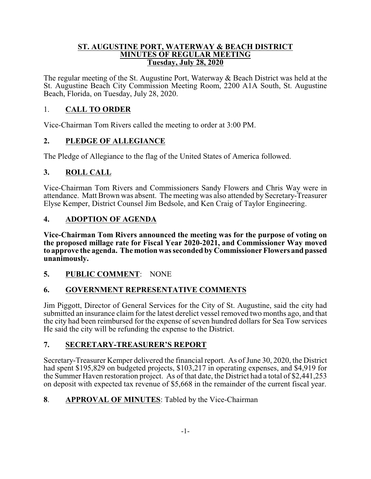### **ST. AUGUSTINE PORT, WATERWAY & BEACH DISTRICT MINUTES OF REGULAR MEETING Tuesday, July 28, 2020**

The regular meeting of the St. Augustine Port, Waterway & Beach District was held at the St. Augustine Beach City Commission Meeting Room, 2200 A1A South, St. Augustine Beach, Florida, on Tuesday, July 28, 2020.

# 1. **CALL TO ORDER**

Vice-Chairman Tom Rivers called the meeting to order at 3:00 PM.

# **2. PLEDGE OF ALLEGIANCE**

The Pledge of Allegiance to the flag of the United States of America followed.

# **3. ROLL CALL**

Vice-Chairman Tom Rivers and Commissioners Sandy Flowers and Chris Way were in attendance. Matt Brown was absent. The meeting was also attended by Secretary-Treasurer Elyse Kemper, District Counsel Jim Bedsole, and Ken Craig of Taylor Engineering.

# **4. ADOPTION OF AGENDA**

**Vice-Chairman Tom Rivers announced the meeting was for the purpose of voting on the proposed millage rate for Fiscal Year 2020-2021, and Commissioner Way moved to approve the agenda. The motion was seconded by Commissioner Flowers and passed unanimously.**

## **5. PUBLIC COMMENT**: NONE

## **6. GOVERNMENT REPRESENTATIVE COMMENTS**

Jim Piggott, Director of General Services for the City of St. Augustine, said the city had submitted an insurance claim for the latest derelict vessel removed two months ago, and that the city had been reimbursed for the expense of seven hundred dollars for Sea Tow services He said the city will be refunding the expense to the District.

## **7. SECRETARY-TREASURER'S REPORT**

Secretary-Treasurer Kemper delivered the financial report. As of June 30, 2020, the District had spent \$195,829 on budgeted projects, \$103,217 in operating expenses, and \$4,919 for the Summer Haven restoration project. As of that date, the District had a total of \$2,441,253 on deposit with expected tax revenue of \$5,668 in the remainder of the current fiscal year.

## **8**. **APPROVAL OF MINUTES**: Tabled by the Vice-Chairman